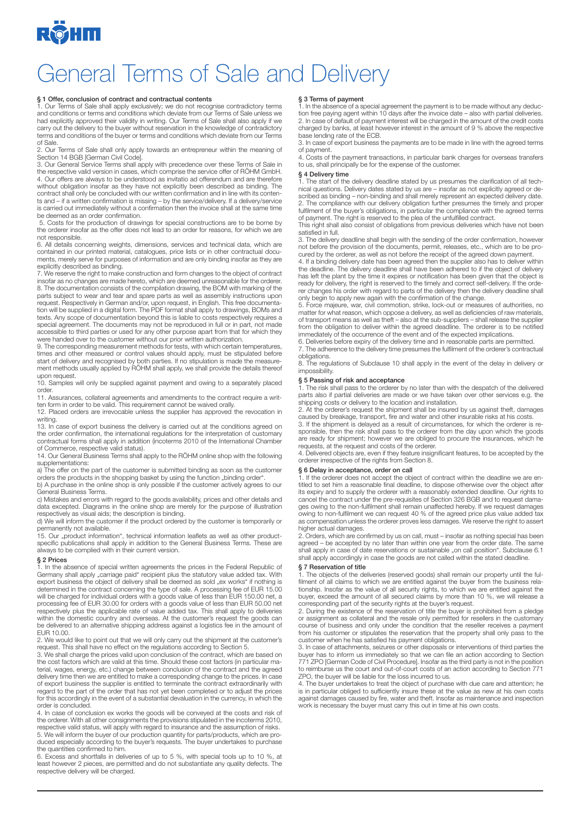

## General Terms of Sale and Delivery

### § 1 Offer, conclusion of contract and contractual contents

1. Our Terms of Sale shall apply exclusively; we do not recognise contradictory terms and conditions or terms and conditions which deviate from our Terms of Sale unless we<br>had explicitly approved their validity in writing. Our Terms of Sale shall also apply if we<br>carry out the delivery to the buyer without terms and conditions of the buyer or terms and conditions which deviate from our Terms of Sale.

2. Our Terms of Sale shall only apply towards an entrepreneur within the meaning of

Section 14 BGB [German Civil Code]. 3. Our General Service Terms shall apply with precedence over these Terms of Sale in the respective valid version in cases, which comprise the service offer of RÖHM GmbH. 4. Our offers are always to be understood as invitatio ad offerendum and are therefore without obligation insofar as they have not explicitly been described as binding. The contract shall only be concluded with our written confirmation and in line with its contents and – if a written confirmation is missing – by the service/delivery. If a delivery/service is carried out immediately without a confirmation then the invoice shall at the same time be deemed as an order confirmation.

 5. Costs for the production of drawings for special constructions are to be borne by the orderer insofar as the offer does not lead to an order for reasons, for which we are not responsible.

6. All details concerning weights, dimensions, services and technical data, which are contained in our printed material, catalogues, price lists or in other contractual documents, merely serve for purposes of information and are only binding insofar as they are explicitly described as binding.

7. We reserve the right to make construction and form changes to the object of contract insofar as no changes are made hereto, which are deemed unreasonable for the orderer. 8. The documentation consists of the compilation drawing, the BOM with marking of the parts subject to wear and tear and spare parts as well as assembly instructions upon<br>request. Respectively in German and/or, upon request, in English. This free documenta-<br>tion will be supplied in a digital form. The PDF f texts. Any scope of documentation beyond this is liable to costs respectively requires a<br>special agreement. The documents may not be reproduced in full or in part, not made<br>accessible to third parties or used for any other

were handed over to the customer without our prior written authorization.<br>9. The corresponding measurement methods for tests, with which certain temperatures,<br>times and other measured or control values should apply, must b start of delivery and recognised by both parties. If no stipulation is made the measure-ment methods usually applied by RÖHM shall apply, we shall provide the details thereof upon request.

10. Samples will only be supplied against payment and owing to a separately placed order.

11. Assurances, collateral agreements and amendments to the contract require a writ-

ten form in order to be valid. This requirement cannot be waived orally. 12. Placed orders are irrevocable unless the supplier has approved the revocation in writing.

13. In case of export business the delivery is carried out at the conditions agreed on the order confirmation, the international regulations for the interpretation of customary contractual forms shall apply in addition (incoterms 2010 of the International Chamber of Commerce, respective valid status).

14. Our General Business Terms shall apply to the RÖHM online shop with the following supplementations:

a) The offer on the part of the customer is submitted binding as soon as the customer orders the products in the shopping basket by using the function "binding order".<br>b) A purchase in the online shop is only possible if the customer actively agrees to our

General Business Terms. c) Mistakes and errors with regard to the goods availability, prices and other details and data excepted. Diagrams in the online shop are merely for the purpose of illustration respectively as visual aids; the description is binding.

d) We will inform the customer if the product ordered by the customer is temporarily or permanently not available.

15. Our "product information", technical information leaflets as well as other productspecific publications shall apply in addition to the General Business Terms. These are always to be complied with in their current version.

### § 2 Prices

1. In the absence of special written agreements the prices in the Federal Republic of Germany shall apply "carriage paid" recipient plus the statutory value added tax. With export business the object of delivery shall be deemed as sold "ex works" if nothing is<br>determined in the contract concerning the type of sale. A processing fee of EUR 15.00<br>will be charged for individual orders with a goo processing fee of EUR 30.00 for orders with a goods value of less than EUR 50.00 net respectively plus the applicable rate of value added tax. This shall apply to deliveries within the domestic country and overseas. At the customer's request the goods can be delivered to an alternative shipping address against a logistics fee in the amount of EUR 10.00.

2. We would like to point out that we will only carry out the shipment at the customer's request. This shall have no effect on the regulations according to Section 5.

3. We shall charge the prices valid upon conclusion of the contract, which are based on the cost factors which are valid at this time. Should these cost factors (in particular material, wages, energy, etc.) change between conclusion of the contract and the agreed<br>delivery time then we are entitled to make a corresponding change to the prices. In case<br>of export business the supplier is entitled to regard to the part of the order that has not yet been completed or to adjust the prices for this accordingly in the event of a substantial devaluation in the currency, in which the order is concluded.

4. In case of conclusion ex works the goods will be conveyed at the costs and risk of the orderer. With all other consignments the provisions stipulated in the incoterms 2010, respective valid status, will apply with regard to insurance and the assumption of risks. 5. We will inform the buyer of our production quantity for parts/products, which are produced especially according to the buyer's requests. The buyer undertakes to purchase the quantities confirmed to him.

6. Excess and shortfalls in deliveries of up to 5 %, with special tools up to 10 %, at least however 2 pieces, are permitted and do not substantiate any quality defects. The respective delivery will be charged.

§ 3 Terms of payment<br>1. In the absence of a special agreement the payment is to be made without any deduction free paying agent within 10 days after the invoice date – also with partial deliveries. 2. In case of default of payment interest will be charged in the amount of the credit costs charged by banks, at least however interest in the amount of 9 % above the respective base lending rate of the ECB.

3. In case of export business the payments are to be made in line with the agreed terms of payment.

4. Costs of the payment transactions, in particular bank charges for overseas transfers to us, shall principally be for the expense of the customer.

### § 4 Delivery time

1. The start of the delivery deadline stated by us presumes the clarification of all tech-nical questions. Delivery dates stated by us are – insofar as not explicitly agreed or described as binding – non-binding and shall merely represent an expected delivery date. 2. The compliance with our delivery obligation further presumes the timely and proper fulfilment of the buyer's obligations, in particular the compliance with the agreed terms of payment. The right is reserved to the plea of the unfulfilled contract.

This right shall also consist of obligations from previous deliveries which have not been satisfied in full.

3. The delivery deadline shall begin with the sending of the order confirmation, however not before the provision of the documents, permit, releases, etc., which are to be pro-

cured by the orderer, as well as not before the receipt of the agreed down payment. 4. If a binding delivery date has been agreed then the supplier also has to deliver within the deadline. The delivery deadline shall have been adhered to if the object of delivery has left the plant by the time it expires or notification has been given that the object is ready for delivery, the right is reserved to the timely and correct self-delivery. If the orderer changes his order with regard to parts of the delivery then the delivery deadline shall

only begin to apply new again with the confirmation of the change. 5. Force majeure, war, civil commotion, strike, lock-out or measures of authorities, no matter for what reason, which oppose a delivery, as well as deficiencies of raw materials,<br>of transport means as well as theft – also at the sub-suppliers – shall release the supplier<br>from the obligation to deliver within immediately of the occurrence of the event and of the expected implications.

6. Deliveries before expiry of the delivery time and in reasonable parts are permitted. 7. The adherence to the delivery time presumes the fulfilment of the orderer's contractual obligations.

8. The regulations of Subclause 10 shall apply in the event of the delay in delivery or impossibility.

### § 5 Passing of risk and acceptance

1. The risk shall pass to the orderer by no later than with the despatch of the delivered parts also if partial deliveries are made or we have taken over other services e.g. the shipping costs or delivery to the location and installation.

2. At the orderer's request the shipment shall be insured by us against theft, damages caused by breakage, transport, fire and water and other insurable risks at his costs.

3. If the shipment is delayed as a result of circumstances, for which the orderer is responsible, then the risk shall pass to the orderer from the day upon which the goods are ready for shipment; however we are obliged to procure the insurances, which he requests, at the request and costs of the orderer.

4. Delivered objects are, even if they feature insignificant features, to be accepted by the orderer irrespective of the rights from Section 8.

### § 6 Delay in acceptance, order on call

1. If the orderer does not accept the object of contract within the deadline we are en-titled to set him a reasonable final deadline, to dispose otherwise over the object after its expiry and to supply the orderer with a reasonably extended deadline. Our rights to<br>cancel the contract under the pre-requisites of Section 326 BGB and to request dama-<br>ges owing to the non-fulfilment shall remain unaf owing to non-fulfilment we can request 40 % of the agreed price plus value added tax as compensation unless the orderer proves less damages. We reserve the right to assert higher actual damages.

2. Orders, which are confirmed by us on call, must – insofar as nothing special has been agreed – be accepted by no later than within one year from the order date. The same shall apply in case of date reservations or sustainable "on call position". Subclause 6.1 shall apply accordingly in case the goods are not called within the stated deadline.

## § 7 Reservation of title

1. The objects of the deliveries (reserved goods) shall remain our property until the fulfilment of all claims to which we are entitled against the buyer from the business rela-<br>tionship. Insofar as the value of all security rights, to which we are entitled against the<br>buyer, exceed the amount of all secured c

corresponding part of the security rights at the buyer's request.<br>2. During the existence of the reservation of title the buyer is prohibited from a pledge<br>or assignment as collateral and the resale only permitted for rese course of business and only under the condition that the reseller receives a payment from his customer or stipulates the reservation that the property shall only pass to the customer when he has satisfied his payment obligations.

3. In case of attachments, seizures or other disposals or interventions of third parties the<br>buyer has to inform us immediately so that we can file an action according to Section<br>771 ZPO [German Code of Civil Procedure]. I to reimburse us the court and out-of-court costs of an action according to Section 771

ZPO, the buyer will be liable for the loss incurred to us. 4. The buyer undertakes to treat the object of purchase with due care and attention; he is in particular obliged to sufficiently insure these at the value as new at his own costs<br>against damages caused by fire, water and theft. Insofar as maintenance and inspection<br>work is necessary the buyer must carry this